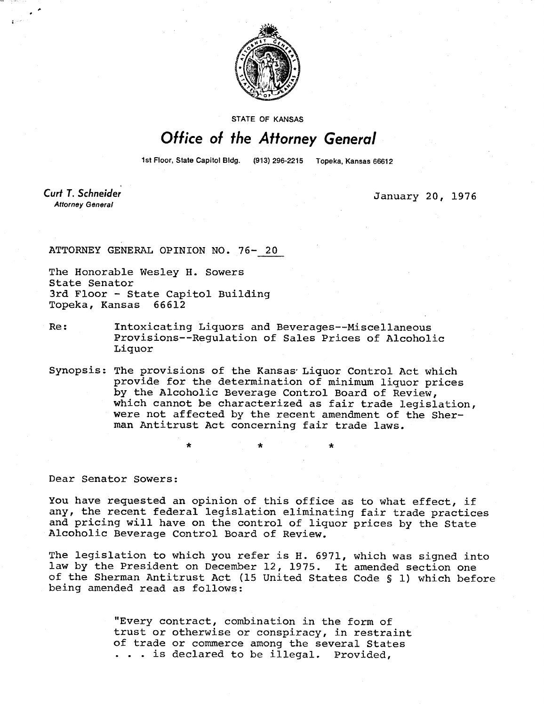

STATE OF KANSAS

## Office of the Attorney General

1st Floor, State Capitol Bldg. 

Curt T. Schneider **Attorney General** 

 $\mathbf{t}$ 

January 20, 1976

ATTORNEY GENERAL OPINION NO. 76- 20

The Honorable Wesley H. Sowers State Senator 3rd Floor - State Capitol Building Topeka, Kansas 66612

- Re: Intoxicating Liquors and Beverages--Miscellaneous Provisions--Regulation of Sales Prices of Alcoholic Liquor
- Synopsis: The provisions of the Kansas' Liquor Control Act which provide for the determination of minimum liquor prices by the Alcoholic Beverage Control Board of Review, which cannot be characterized as fair trade legislation, were not affected by the recent amendment of the Sherman Antitrust Act concerning fair trade laws.

Dear Senator Sowers:

You have requested an opinion of this office as to what effect, if any, the recent federal legislation eliminating fair trade practices and pricing will have on the control of liquor prices by the State Alcoholic Beverage Control Board of Review.

The legislation to which you refer is H. 6971, which was signed into law by the President on December 12, 1975. It amended section one of the Sherman Antitrust Act (15 United States Code § 1) which before being amended read as follows:

> "Every contract, combination in the form of trust or otherwise or conspiracy, in restraint of trade or commerce among the several States . . . is declared to be illegal. Provided,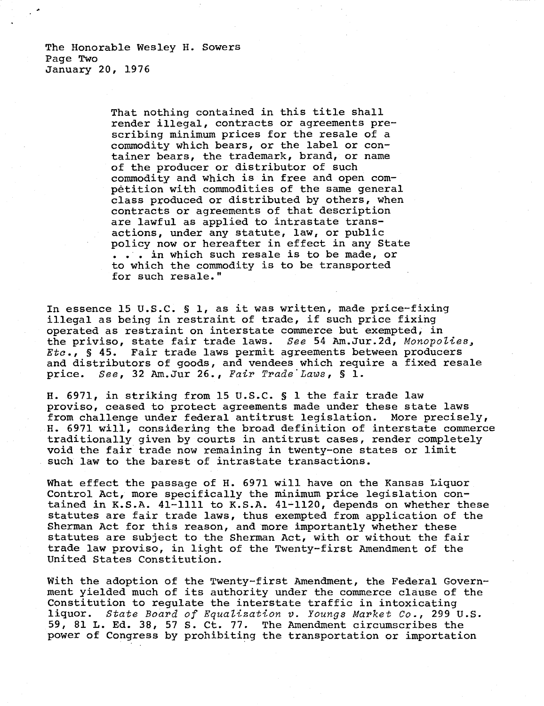The Honorable Wesley H. Sowers Page Two January 20, 1976

> That nothing contained in this title shall render illegal, contracts or agreements prescribing minimum prices for the resale of a commodity which bears, or the label or container bears, the trademark, brand, or name of the producer or distributor of such commodity and which is in free and open competition with commodities of the same general class produced or distributed by others, when contracts or agreements of that description are lawful as applied to intrastate transactions, under any statute, law, or public policy now or hereafter in effect in any State . . . in which such resale is to be made, or to which the commodity is to be transported for such resale."

In essence 15 U.S.C. § 1, as it was written, made price-fixing illegal as being in restraint of trade, if such price fixing operated as restraint on interstate commerce but exempted, in the priviso, state fair trade laws. See 54 Am.Jur.2d, Monopolies, Etc., S 45. Fair trade laws permit agreements between producers and distributors of goods, and vendees which require a fixed resale price. See, 32 Am.Jur 26., Fair Trade Laws, § 1.

H. 6971, in striking from 15 U.S.C. § 1 the fair trade law proviso, ceased to protect agreements made under these state laws from challenge under federal antitrust legislation. More precisely, H. 6971 will, considering the broad definition of interstate commerce traditionally given by courts in antitrust cases, render completely void the fair trade now remaining in twenty-one states or limit such law to the barest of intrastate transactions.

What effect the passage of H. 6971 will have on the Kansas Liquor Control Act, more specifically the minimum price legislation contained in K.S.A. 41-1111 to K.S.A. 41-1120, depends on whether these statutes are fair trade laws, thus exempted from application of the Sherman Act for this reason, and more importantly whether these statutes are subject to the Sherman Act, with or without the fair trade law proviso, in light of the Twenty-first Amendment of the United States Constitution.

With the adoption of the Twenty-first Amendment, the Federal Government yielded much of its authority under the commerce clause of the Constitution to regulate the interstate traffic in intoxicating liquor. State Board of Equalization v. Youngs Market Co., 299 U.S. 59, 81 L. Ed. 38, 57 S. Ct. 77. The Amendment circumscribes the power of Congress by prohibiting the transportation or importation